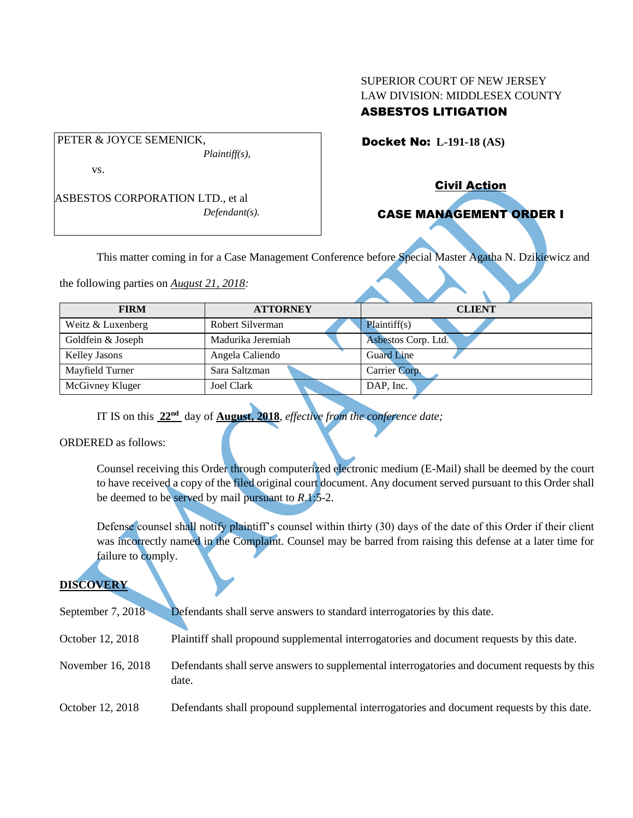## SUPERIOR COURT OF NEW JERSEY LAW DIVISION: MIDDLESEX COUNTY ASBESTOS LITIGATION

Docket No: **L-191-18 (AS)** 

vs.

ASBESTOS CORPORATION LTD., et al *Defendant(s).*

*Plaintiff(s),*

PETER & JOYCE SEMENICK,

Civil Action

# CASE MANAGEMENT ORDER I

This matter coming in for a Case Management Conference before Special Master Agatha N. Dzikiewicz and

the following parties on *August 21, 2018:*

| <b>FIRM</b>          | <b>ATTORNEY</b>   | <b>CLIENT</b>       |  |  |
|----------------------|-------------------|---------------------|--|--|
| Weitz & Luxenberg    | Robert Silverman  | Plaintiff(s)        |  |  |
| Goldfein & Joseph    | Madurika Jeremiah | Asbestos Corp. Ltd. |  |  |
| <b>Kelley Jasons</b> | Angela Caliendo   | <b>Guard Line</b>   |  |  |
| Mayfield Turner      | Sara Saltzman     | Carrier Corp.       |  |  |
| McGivney Kluger      | Joel Clark        | DAP, Inc.           |  |  |

IT IS on this **22nd** day of **August, 2018**, *effective from the conference date;*

ORDERED as follows:

Counsel receiving this Order through computerized electronic medium (E-Mail) shall be deemed by the court to have received a copy of the filed original court document. Any document served pursuant to this Order shall be deemed to be served by mail pursuant to *R*.1:5-2.

Defense counsel shall notify plaintiff's counsel within thirty (30) days of the date of this Order if their client was incorrectly named in the Complaint. Counsel may be barred from raising this defense at a later time for failure to comply.

## **DISCOVERY**

| September 7, $2018$ | Defendants shall serve answers to standard interrogatories by this date.                              |
|---------------------|-------------------------------------------------------------------------------------------------------|
| October 12, 2018    | Plaintiff shall propound supplemental interrogatories and document requests by this date.             |
| November 16, 2018   | Defendants shall serve answers to supplemental interrogatories and document requests by this<br>date. |
| October 12, 2018    | Defendants shall propound supplemental interrogatories and document requests by this date.            |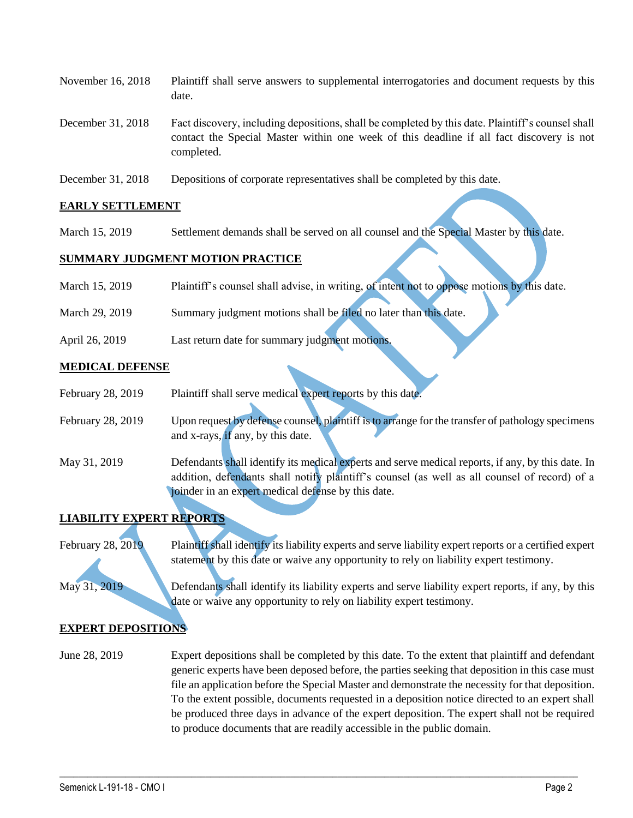| November 16, 2018 | Plaintiff shall serve answers to supplemental interrogatories and document requests by this<br>date.                                                                                                        |
|-------------------|-------------------------------------------------------------------------------------------------------------------------------------------------------------------------------------------------------------|
| December 31, 2018 | Fact discovery, including depositions, shall be completed by this date. Plaintiff's counsel shall<br>contact the Special Master within one week of this deadline if all fact discovery is not<br>completed. |

December 31, 2018 Depositions of corporate representatives shall be completed by this date.

#### **EARLY SETTLEMENT**

March 15, 2019 Settlement demands shall be served on all counsel and the Special Master by this date.

#### **SUMMARY JUDGMENT MOTION PRACTICE**

| March 15, 2019 | Plaintiff's counsel shall advise, in writing, of intent not to oppose motions by this date. |  |  |  |
|----------------|---------------------------------------------------------------------------------------------|--|--|--|
|                |                                                                                             |  |  |  |

- March 29, 2019 Summary judgment motions shall be filed no later than this date.
- April 26, 2019 Last return date for summary judgment motions.

### **MEDICAL DEFENSE**

| February 28, 2019 | Plaintiff shall serve medical expert reports by this date.                                       |
|-------------------|--------------------------------------------------------------------------------------------------|
| February 28, 2019 | Upon request by defense counsel, plaintiff is to arrange for the transfer of pathology specimens |
|                   | and x-rays, if any, by this date.                                                                |

May 31, 2019 Defendants shall identify its medical experts and serve medical reports, if any, by this date. In addition, defendants shall notify plaintiff's counsel (as well as all counsel of record) of a joinder in an expert medical defense by this date.

## **LIABILITY EXPERT REPORTS**

February 28, 2019 Plaintiff shall identify its liability experts and serve liability expert reports or a certified expert statement by this date or waive any opportunity to rely on liability expert testimony.

May 31, 2019 Defendants shall identify its liability experts and serve liability expert reports, if any, by this date or waive any opportunity to rely on liability expert testimony.

## **EXPERT DEPOSITIONS**

June 28, 2019 Expert depositions shall be completed by this date. To the extent that plaintiff and defendant generic experts have been deposed before, the parties seeking that deposition in this case must file an application before the Special Master and demonstrate the necessity for that deposition. To the extent possible, documents requested in a deposition notice directed to an expert shall be produced three days in advance of the expert deposition. The expert shall not be required to produce documents that are readily accessible in the public domain.

 $\_$  , and the set of the set of the set of the set of the set of the set of the set of the set of the set of the set of the set of the set of the set of the set of the set of the set of the set of the set of the set of th